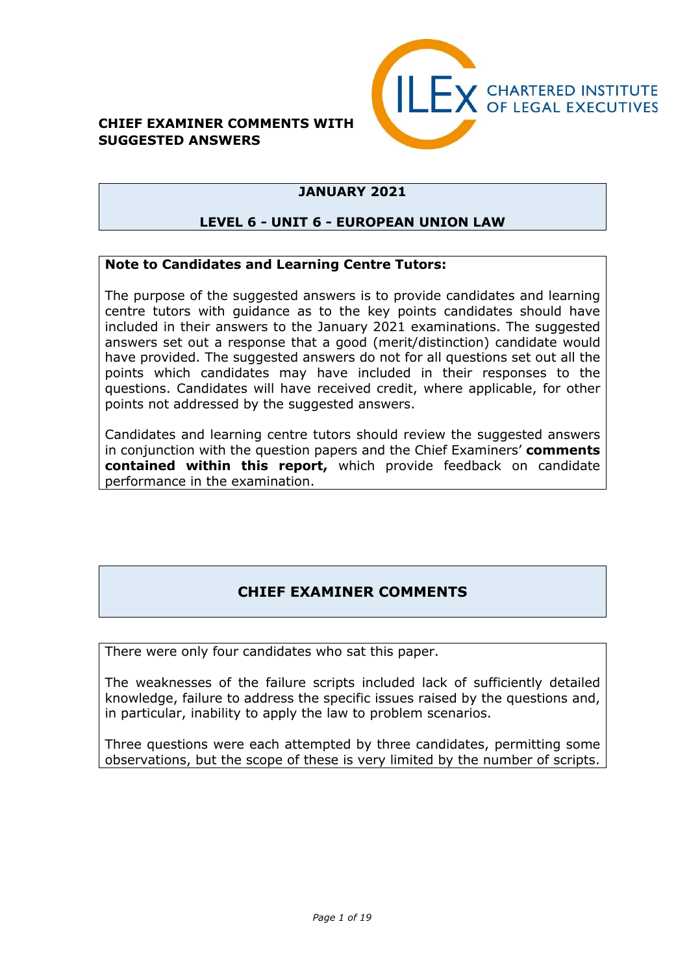#### **CHIEF EXAMINER COMMENTS WITH SUGGESTED ANSWERS**



## **JANUARY 2021**

### **LEVEL 6 - UNIT 6 - EUROPEAN UNION LAW**

#### **Note to Candidates and Learning Centre Tutors:**

The purpose of the suggested answers is to provide candidates and learning centre tutors with guidance as to the key points candidates should have included in their answers to the January 2021 examinations. The suggested answers set out a response that a good (merit/distinction) candidate would have provided. The suggested answers do not for all questions set out all the points which candidates may have included in their responses to the questions. Candidates will have received credit, where applicable, for other points not addressed by the suggested answers.

Candidates and learning centre tutors should review the suggested answers in conjunction with the question papers and the Chief Examiners' **comments contained within this report,** which provide feedback on candidate performance in the examination.

# **CHIEF EXAMINER COMMENTS**

There were only four candidates who sat this paper.

The weaknesses of the failure scripts included lack of sufficiently detailed knowledge, failure to address the specific issues raised by the questions and, in particular, inability to apply the law to problem scenarios.

Three questions were each attempted by three candidates, permitting some observations, but the scope of these is very limited by the number of scripts.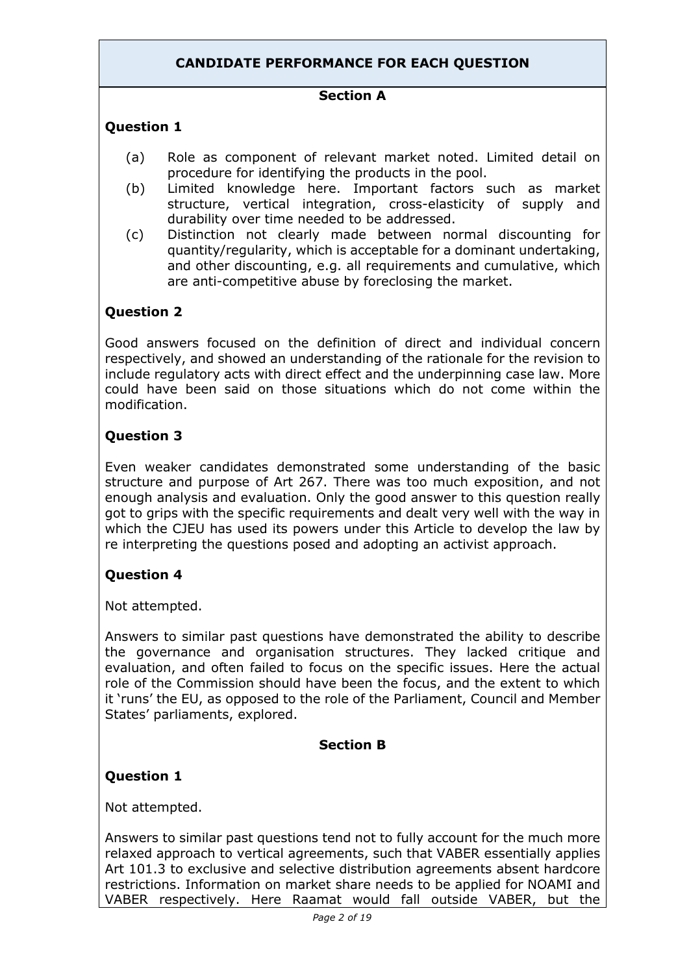### **CANDIDATE PERFORMANCE FOR EACH QUESTION**

#### **Section A**

#### **Question 1**

- (a) Role as component of relevant market noted. Limited detail on procedure for identifying the products in the pool.
- (b) Limited knowledge here. Important factors such as market structure, vertical integration, cross-elasticity of supply and durability over time needed to be addressed.
- (c) Distinction not clearly made between normal discounting for quantity/regularity, which is acceptable for a dominant undertaking, and other discounting, e.g. all requirements and cumulative, which are anti-competitive abuse by foreclosing the market.

#### **Question 2**

Good answers focused on the definition of direct and individual concern respectively, and showed an understanding of the rationale for the revision to include regulatory acts with direct effect and the underpinning case law. More could have been said on those situations which do not come within the modification.

#### **Question 3**

Even weaker candidates demonstrated some understanding of the basic structure and purpose of Art 267. There was too much exposition, and not enough analysis and evaluation. Only the good answer to this question really got to grips with the specific requirements and dealt very well with the way in which the CJEU has used its powers under this Article to develop the law by re interpreting the questions posed and adopting an activist approach.

#### **Question 4**

Not attempted.

Answers to similar past questions have demonstrated the ability to describe the governance and organisation structures. They lacked critique and evaluation, and often failed to focus on the specific issues. Here the actual role of the Commission should have been the focus, and the extent to which it 'runs' the EU, as opposed to the role of the Parliament, Council and Member States' parliaments, explored.

#### **Section B**

#### **Question 1**

Not attempted.

Answers to similar past questions tend not to fully account for the much more relaxed approach to vertical agreements, such that VABER essentially applies Art 101.3 to exclusive and selective distribution agreements absent hardcore restrictions. Information on market share needs to be applied for NOAMI and VABER respectively. Here Raamat would fall outside VABER, but the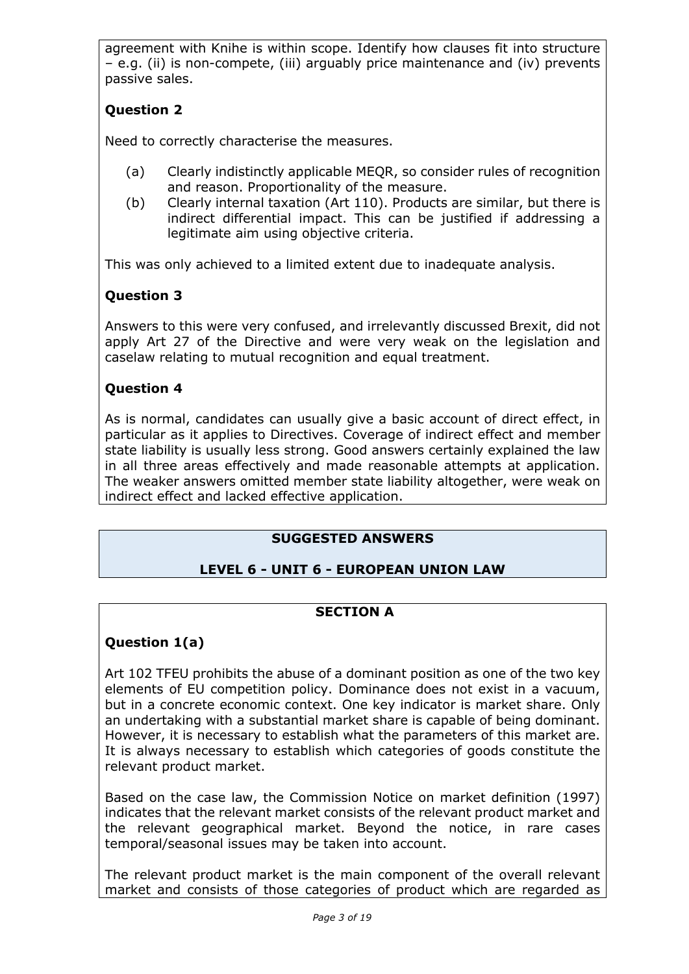agreement with Knihe is within scope. Identify how clauses fit into structure – e.g. (ii) is non-compete, (iii) arguably price maintenance and (iv) prevents passive sales.

# **Question 2**

Need to correctly characterise the measures.

- (a) Clearly indistinctly applicable MEQR, so consider rules of recognition and reason. Proportionality of the measure.
- (b) Clearly internal taxation (Art 110). Products are similar, but there is indirect differential impact. This can be justified if addressing a legitimate aim using objective criteria.

This was only achieved to a limited extent due to inadequate analysis.

# **Question 3**

Answers to this were very confused, and irrelevantly discussed Brexit, did not apply Art 27 of the Directive and were very weak on the legislation and caselaw relating to mutual recognition and equal treatment.

# **Question 4**

As is normal, candidates can usually give a basic account of direct effect, in particular as it applies to Directives. Coverage of indirect effect and member state liability is usually less strong. Good answers certainly explained the law in all three areas effectively and made reasonable attempts at application. The weaker answers omitted member state liability altogether, were weak on indirect effect and lacked effective application.

## **SUGGESTED ANSWERS**

# **LEVEL 6 - UNIT 6 - EUROPEAN UNION LAW**

#### **SECTION A**

## **Question 1(a)**

Art 102 TFEU prohibits the abuse of a dominant position as one of the two key elements of EU competition policy. Dominance does not exist in a vacuum, but in a concrete economic context. One key indicator is market share. Only an undertaking with a substantial market share is capable of being dominant. However, it is necessary to establish what the parameters of this market are. It is always necessary to establish which categories of goods constitute the relevant product market.

Based on the case law, the Commission Notice on market definition (1997) indicates that the relevant market consists of the relevant product market and the relevant geographical market. Beyond the notice, in rare cases temporal/seasonal issues may be taken into account.

The relevant product market is the main component of the overall relevant market and consists of those categories of product which are regarded as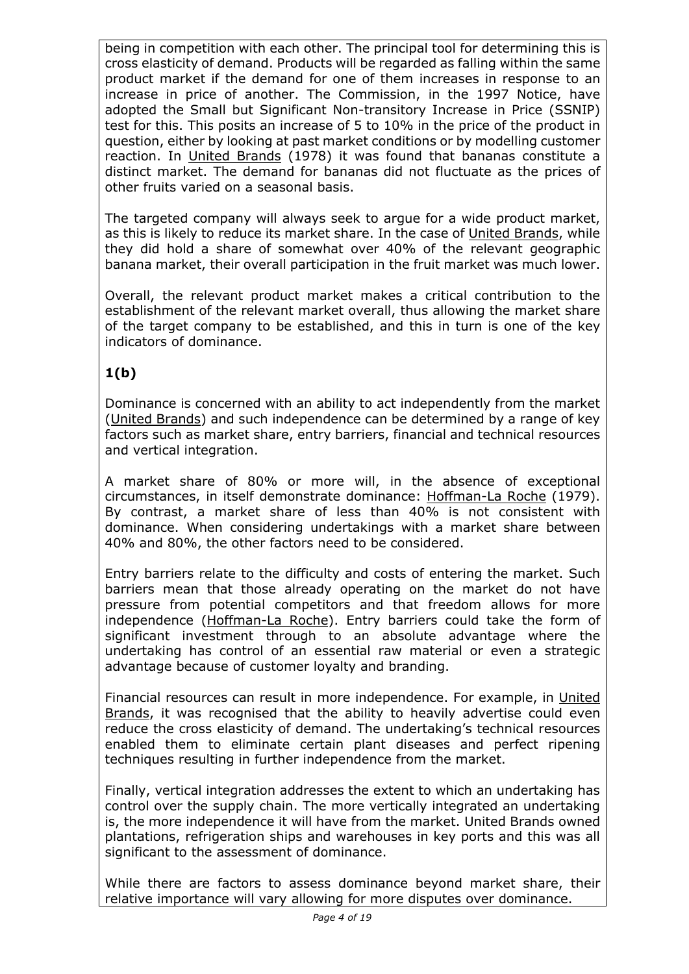being in competition with each other. The principal tool for determining this is cross elasticity of demand. Products will be regarded as falling within the same product market if the demand for one of them increases in response to an increase in price of another. The Commission, in the 1997 Notice, have adopted the Small but Significant Non-transitory Increase in Price (SSNIP) test for this. This posits an increase of 5 to 10% in the price of the product in question, either by looking at past market conditions or by modelling customer reaction. In United Brands (1978) it was found that bananas constitute a distinct market. The demand for bananas did not fluctuate as the prices of other fruits varied on a seasonal basis.

The targeted company will always seek to argue for a wide product market, as this is likely to reduce its market share. In the case of United Brands, while they did hold a share of somewhat over 40% of the relevant geographic banana market, their overall participation in the fruit market was much lower.

Overall, the relevant product market makes a critical contribution to the establishment of the relevant market overall, thus allowing the market share of the target company to be established, and this in turn is one of the key indicators of dominance.

# **1(b)**

Dominance is concerned with an ability to act independently from the market (United Brands) and such independence can be determined by a range of key factors such as market share, entry barriers, financial and technical resources and vertical integration.

A market share of 80% or more will, in the absence of exceptional circumstances, in itself demonstrate dominance: Hoffman-La Roche (1979). By contrast, a market share of less than 40% is not consistent with dominance. When considering undertakings with a market share between 40% and 80%, the other factors need to be considered.

Entry barriers relate to the difficulty and costs of entering the market. Such barriers mean that those already operating on the market do not have pressure from potential competitors and that freedom allows for more independence (Hoffman-La Roche). Entry barriers could take the form of significant investment through to an absolute advantage where the undertaking has control of an essential raw material or even a strategic advantage because of customer loyalty and branding.

Financial resources can result in more independence. For example, in United Brands, it was recognised that the ability to heavily advertise could even reduce the cross elasticity of demand. The undertaking's technical resources enabled them to eliminate certain plant diseases and perfect ripening techniques resulting in further independence from the market.

Finally, vertical integration addresses the extent to which an undertaking has control over the supply chain. The more vertically integrated an undertaking is, the more independence it will have from the market. United Brands owned plantations, refrigeration ships and warehouses in key ports and this was all significant to the assessment of dominance.

While there are factors to assess dominance beyond market share, their relative importance will vary allowing for more disputes over dominance.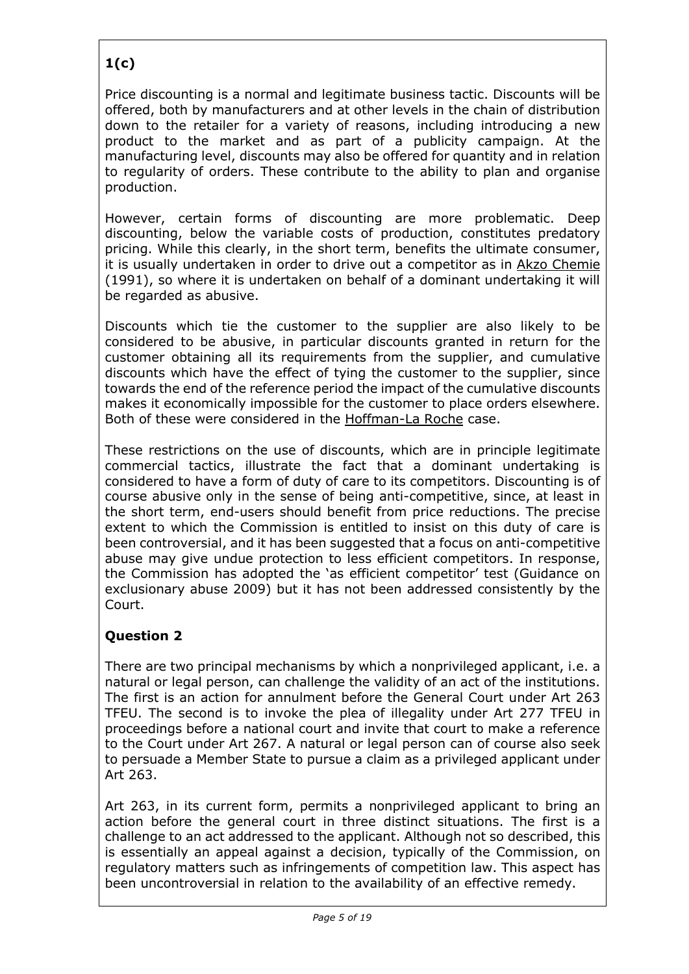# **1(c)**

Price discounting is a normal and legitimate business tactic. Discounts will be offered, both by manufacturers and at other levels in the chain of distribution down to the retailer for a variety of reasons, including introducing a new product to the market and as part of a publicity campaign. At the manufacturing level, discounts may also be offered for quantity and in relation to regularity of orders. These contribute to the ability to plan and organise production.

However, certain forms of discounting are more problematic. Deep discounting, below the variable costs of production, constitutes predatory pricing. While this clearly, in the short term, benefits the ultimate consumer, it is usually undertaken in order to drive out a competitor as in Akzo Chemie (1991), so where it is undertaken on behalf of a dominant undertaking it will be regarded as abusive.

Discounts which tie the customer to the supplier are also likely to be considered to be abusive, in particular discounts granted in return for the customer obtaining all its requirements from the supplier, and cumulative discounts which have the effect of tying the customer to the supplier, since towards the end of the reference period the impact of the cumulative discounts makes it economically impossible for the customer to place orders elsewhere. Both of these were considered in the Hoffman-La Roche case.

These restrictions on the use of discounts, which are in principle legitimate commercial tactics, illustrate the fact that a dominant undertaking is considered to have a form of duty of care to its competitors. Discounting is of course abusive only in the sense of being anti-competitive, since, at least in the short term, end-users should benefit from price reductions. The precise extent to which the Commission is entitled to insist on this duty of care is been controversial, and it has been suggested that a focus on anti-competitive abuse may give undue protection to less efficient competitors. In response, the Commission has adopted the 'as efficient competitor' test (Guidance on exclusionary abuse 2009) but it has not been addressed consistently by the Court.

## **Question 2**

There are two principal mechanisms by which a nonprivileged applicant, i.e. a natural or legal person, can challenge the validity of an act of the institutions. The first is an action for annulment before the General Court under Art 263 TFEU. The second is to invoke the plea of illegality under Art 277 TFEU in proceedings before a national court and invite that court to make a reference to the Court under Art 267. A natural or legal person can of course also seek to persuade a Member State to pursue a claim as a privileged applicant under Art 263.

Art 263, in its current form, permits a nonprivileged applicant to bring an action before the general court in three distinct situations. The first is a challenge to an act addressed to the applicant. Although not so described, this is essentially an appeal against a decision, typically of the Commission, on regulatory matters such as infringements of competition law. This aspect has been uncontroversial in relation to the availability of an effective remedy.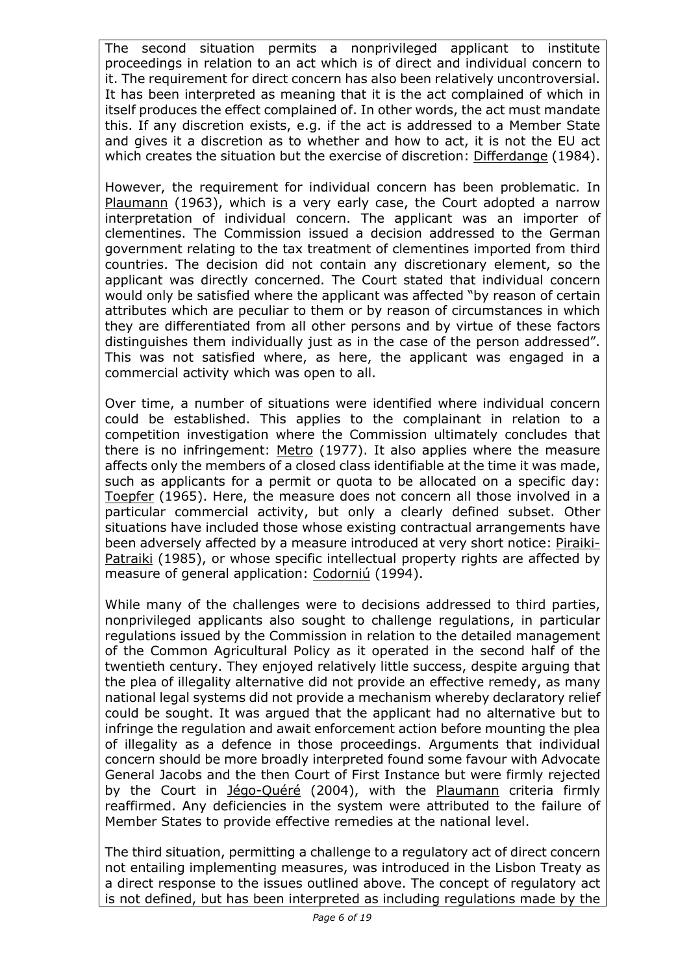The second situation permits a nonprivileged applicant to institute proceedings in relation to an act which is of direct and individual concern to it. The requirement for direct concern has also been relatively uncontroversial. It has been interpreted as meaning that it is the act complained of which in itself produces the effect complained of. In other words, the act must mandate this. If any discretion exists, e.g. if the act is addressed to a Member State and gives it a discretion as to whether and how to act, it is not the EU act which creates the situation but the exercise of discretion: Differdange (1984).

However, the requirement for individual concern has been problematic. In Plaumann (1963), which is a very early case, the Court adopted a narrow interpretation of individual concern. The applicant was an importer of clementines. The Commission issued a decision addressed to the German government relating to the tax treatment of clementines imported from third countries. The decision did not contain any discretionary element, so the applicant was directly concerned. The Court stated that individual concern would only be satisfied where the applicant was affected "by reason of certain attributes which are peculiar to them or by reason of circumstances in which they are differentiated from all other persons and by virtue of these factors distinguishes them individually just as in the case of the person addressed". This was not satisfied where, as here, the applicant was engaged in a commercial activity which was open to all.

Over time, a number of situations were identified where individual concern could be established. This applies to the complainant in relation to a competition investigation where the Commission ultimately concludes that there is no infringement: Metro (1977). It also applies where the measure affects only the members of a closed class identifiable at the time it was made, such as applicants for a permit or quota to be allocated on a specific day: Toepfer (1965). Here, the measure does not concern all those involved in a particular commercial activity, but only a clearly defined subset. Other situations have included those whose existing contractual arrangements have been adversely affected by a measure introduced at very short notice: Piraiki-Patraiki (1985), or whose specific intellectual property rights are affected by measure of general application: Codorniú (1994).

While many of the challenges were to decisions addressed to third parties, nonprivileged applicants also sought to challenge regulations, in particular regulations issued by the Commission in relation to the detailed management of the Common Agricultural Policy as it operated in the second half of the twentieth century. They enjoyed relatively little success, despite arguing that the plea of illegality alternative did not provide an effective remedy, as many national legal systems did not provide a mechanism whereby declaratory relief could be sought. It was argued that the applicant had no alternative but to infringe the regulation and await enforcement action before mounting the plea of illegality as a defence in those proceedings. Arguments that individual concern should be more broadly interpreted found some favour with Advocate General Jacobs and the then Court of First Instance but were firmly rejected by the Court in Jégo-Quéré (2004), with the Plaumann criteria firmly reaffirmed. Any deficiencies in the system were attributed to the failure of Member States to provide effective remedies at the national level.

The third situation, permitting a challenge to a regulatory act of direct concern not entailing implementing measures, was introduced in the Lisbon Treaty as a direct response to the issues outlined above. The concept of regulatory act is not defined, but has been interpreted as including regulations made by the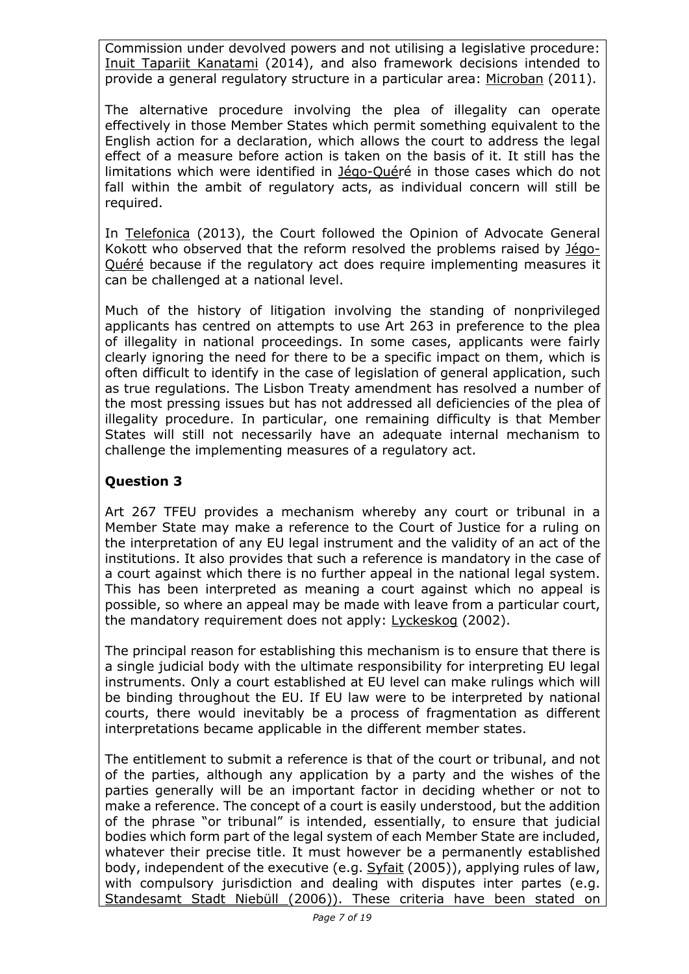Commission under devolved powers and not utilising a legislative procedure: Inuit Tapariit Kanatami (2014), and also framework decisions intended to provide a general regulatory structure in a particular area: Microban (2011).

The alternative procedure involving the plea of illegality can operate effectively in those Member States which permit something equivalent to the English action for a declaration, which allows the court to address the legal effect of a measure before action is taken on the basis of it. It still has the limitations which were identified in Jégo-Quéré in those cases which do not fall within the ambit of regulatory acts, as individual concern will still be required.

In Telefonica (2013), the Court followed the Opinion of Advocate General Kokott who observed that the reform resolved the problems raised by Jégo-Quéré because if the regulatory act does require implementing measures it can be challenged at a national level.

Much of the history of litigation involving the standing of nonprivileged applicants has centred on attempts to use Art 263 in preference to the plea of illegality in national proceedings. In some cases, applicants were fairly clearly ignoring the need for there to be a specific impact on them, which is often difficult to identify in the case of legislation of general application, such as true regulations. The Lisbon Treaty amendment has resolved a number of the most pressing issues but has not addressed all deficiencies of the plea of illegality procedure. In particular, one remaining difficulty is that Member States will still not necessarily have an adequate internal mechanism to challenge the implementing measures of a regulatory act.

## **Question 3**

Art 267 TFEU provides a mechanism whereby any court or tribunal in a Member State may make a reference to the Court of Justice for a ruling on the interpretation of any EU legal instrument and the validity of an act of the institutions. It also provides that such a reference is mandatory in the case of a court against which there is no further appeal in the national legal system. This has been interpreted as meaning a court against which no appeal is possible, so where an appeal may be made with leave from a particular court, the mandatory requirement does not apply: Lyckeskog (2002).

The principal reason for establishing this mechanism is to ensure that there is a single judicial body with the ultimate responsibility for interpreting EU legal instruments. Only a court established at EU level can make rulings which will be binding throughout the EU. If EU law were to be interpreted by national courts, there would inevitably be a process of fragmentation as different interpretations became applicable in the different member states.

The entitlement to submit a reference is that of the court or tribunal, and not of the parties, although any application by a party and the wishes of the parties generally will be an important factor in deciding whether or not to make a reference. The concept of a court is easily understood, but the addition of the phrase "or tribunal" is intended, essentially, to ensure that judicial bodies which form part of the legal system of each Member State are included, whatever their precise title. It must however be a permanently established body, independent of the executive (e.g. Syfait (2005)), applying rules of law, with compulsory jurisdiction and dealing with disputes inter partes (e.g. Standesamt Stadt Niebüll (2006)). These criteria have been stated on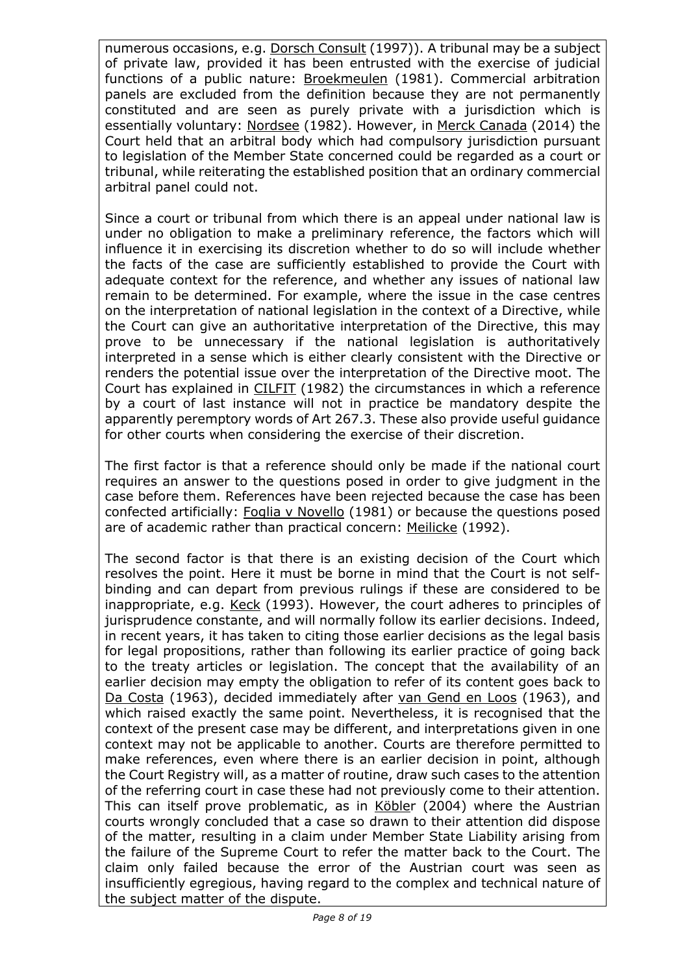numerous occasions, e.g. Dorsch Consult (1997)). A tribunal may be a subject of private law, provided it has been entrusted with the exercise of judicial functions of a public nature: Broekmeulen (1981). Commercial arbitration panels are excluded from the definition because they are not permanently constituted and are seen as purely private with a jurisdiction which is essentially voluntary: Nordsee (1982). However, in Merck Canada (2014) the Court held that an arbitral body which had compulsory jurisdiction pursuant to legislation of the Member State concerned could be regarded as a court or tribunal, while reiterating the established position that an ordinary commercial arbitral panel could not.

Since a court or tribunal from which there is an appeal under national law is under no obligation to make a preliminary reference, the factors which will influence it in exercising its discretion whether to do so will include whether the facts of the case are sufficiently established to provide the Court with adequate context for the reference, and whether any issues of national law remain to be determined. For example, where the issue in the case centres on the interpretation of national legislation in the context of a Directive, while the Court can give an authoritative interpretation of the Directive, this may prove to be unnecessary if the national legislation is authoritatively interpreted in a sense which is either clearly consistent with the Directive or renders the potential issue over the interpretation of the Directive moot. The Court has explained in CILFIT (1982) the circumstances in which a reference by a court of last instance will not in practice be mandatory despite the apparently peremptory words of Art 267.3. These also provide useful guidance for other courts when considering the exercise of their discretion.

The first factor is that a reference should only be made if the national court requires an answer to the questions posed in order to give judgment in the case before them. References have been rejected because the case has been confected artificially: Foglia v Novello (1981) or because the questions posed are of academic rather than practical concern: Meilicke (1992).

The second factor is that there is an existing decision of the Court which resolves the point. Here it must be borne in mind that the Court is not selfbinding and can depart from previous rulings if these are considered to be inappropriate, e.g. Keck (1993). However, the court adheres to principles of jurisprudence constante, and will normally follow its earlier decisions. Indeed, in recent years, it has taken to citing those earlier decisions as the legal basis for legal propositions, rather than following its earlier practice of going back to the treaty articles or legislation. The concept that the availability of an earlier decision may empty the obligation to refer of its content goes back to Da Costa (1963), decided immediately after van Gend en Loos (1963), and which raised exactly the same point. Nevertheless, it is recognised that the context of the present case may be different, and interpretations given in one context may not be applicable to another. Courts are therefore permitted to make references, even where there is an earlier decision in point, although the Court Registry will, as a matter of routine, draw such cases to the attention of the referring court in case these had not previously come to their attention. This can itself prove problematic, as in Köbler (2004) where the Austrian courts wrongly concluded that a case so drawn to their attention did dispose of the matter, resulting in a claim under Member State Liability arising from the failure of the Supreme Court to refer the matter back to the Court. The claim only failed because the error of the Austrian court was seen as insufficiently egregious, having regard to the complex and technical nature of the subject matter of the dispute.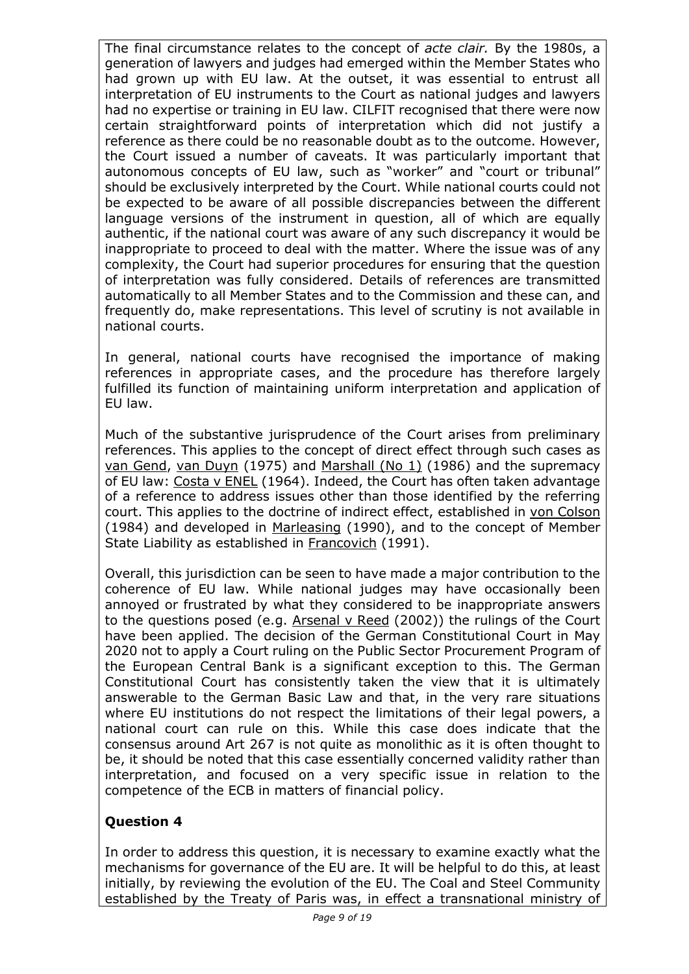The final circumstance relates to the concept of *acte clair.* By the 1980s, a generation of lawyers and judges had emerged within the Member States who had grown up with EU law. At the outset, it was essential to entrust all interpretation of EU instruments to the Court as national judges and lawyers had no expertise or training in EU law. CILFIT recognised that there were now certain straightforward points of interpretation which did not justify a reference as there could be no reasonable doubt as to the outcome. However, the Court issued a number of caveats. It was particularly important that autonomous concepts of EU law, such as "worker" and "court or tribunal" should be exclusively interpreted by the Court. While national courts could not be expected to be aware of all possible discrepancies between the different language versions of the instrument in question, all of which are equally authentic, if the national court was aware of any such discrepancy it would be inappropriate to proceed to deal with the matter. Where the issue was of any complexity, the Court had superior procedures for ensuring that the question of interpretation was fully considered. Details of references are transmitted automatically to all Member States and to the Commission and these can, and frequently do, make representations. This level of scrutiny is not available in national courts.

In general, national courts have recognised the importance of making references in appropriate cases, and the procedure has therefore largely fulfilled its function of maintaining uniform interpretation and application of EU law.

Much of the substantive jurisprudence of the Court arises from preliminary references. This applies to the concept of direct effect through such cases as van Gend, van Duyn (1975) and Marshall (No 1) (1986) and the supremacy of EU law: Costa v ENEL (1964). Indeed, the Court has often taken advantage of a reference to address issues other than those identified by the referring court. This applies to the doctrine of indirect effect, established in von Colson (1984) and developed in Marleasing (1990), and to the concept of Member State Liability as established in Francovich (1991).

Overall, this jurisdiction can be seen to have made a major contribution to the coherence of EU law. While national judges may have occasionally been annoyed or frustrated by what they considered to be inappropriate answers to the questions posed (e.g. Arsenal v Reed (2002)) the rulings of the Court have been applied. The decision of the German Constitutional Court in May 2020 not to apply a Court ruling on the Public Sector Procurement Program of the European Central Bank is a significant exception to this. The German Constitutional Court has consistently taken the view that it is ultimately answerable to the German Basic Law and that, in the very rare situations where EU institutions do not respect the limitations of their legal powers, a national court can rule on this. While this case does indicate that the consensus around Art 267 is not quite as monolithic as it is often thought to be, it should be noted that this case essentially concerned validity rather than interpretation, and focused on a very specific issue in relation to the competence of the ECB in matters of financial policy.

## **Question 4**

In order to address this question, it is necessary to examine exactly what the mechanisms for governance of the EU are. It will be helpful to do this, at least initially, by reviewing the evolution of the EU. The Coal and Steel Community established by the Treaty of Paris was, in effect a transnational ministry of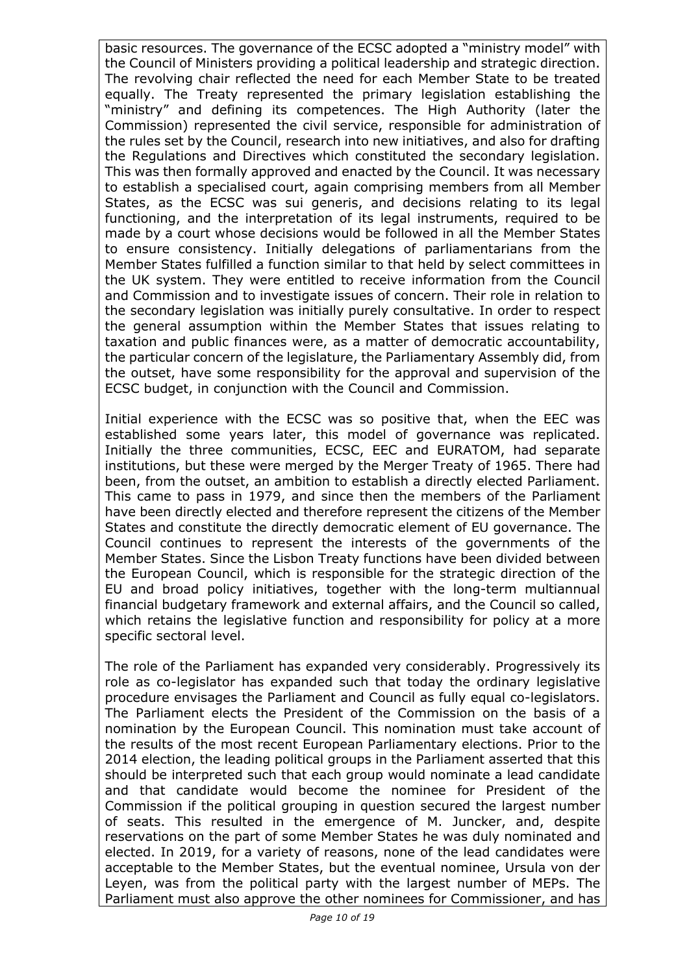basic resources. The governance of the ECSC adopted a "ministry model" with the Council of Ministers providing a political leadership and strategic direction. The revolving chair reflected the need for each Member State to be treated equally. The Treaty represented the primary legislation establishing the "ministry" and defining its competences. The High Authority (later the Commission) represented the civil service, responsible for administration of the rules set by the Council, research into new initiatives, and also for drafting the Regulations and Directives which constituted the secondary legislation. This was then formally approved and enacted by the Council. It was necessary to establish a specialised court, again comprising members from all Member States, as the ECSC was sui generis, and decisions relating to its legal functioning, and the interpretation of its legal instruments, required to be made by a court whose decisions would be followed in all the Member States to ensure consistency. Initially delegations of parliamentarians from the Member States fulfilled a function similar to that held by select committees in the UK system. They were entitled to receive information from the Council and Commission and to investigate issues of concern. Their role in relation to the secondary legislation was initially purely consultative. In order to respect the general assumption within the Member States that issues relating to taxation and public finances were, as a matter of democratic accountability, the particular concern of the legislature, the Parliamentary Assembly did, from the outset, have some responsibility for the approval and supervision of the ECSC budget, in conjunction with the Council and Commission.

Initial experience with the ECSC was so positive that, when the EEC was established some years later, this model of governance was replicated. Initially the three communities, ECSC, EEC and EURATOM, had separate institutions, but these were merged by the Merger Treaty of 1965. There had been, from the outset, an ambition to establish a directly elected Parliament. This came to pass in 1979, and since then the members of the Parliament have been directly elected and therefore represent the citizens of the Member States and constitute the directly democratic element of EU governance. The Council continues to represent the interests of the governments of the Member States. Since the Lisbon Treaty functions have been divided between the European Council, which is responsible for the strategic direction of the EU and broad policy initiatives, together with the long-term multiannual financial budgetary framework and external affairs, and the Council so called, which retains the legislative function and responsibility for policy at a more specific sectoral level.

The role of the Parliament has expanded very considerably. Progressively its role as co-legislator has expanded such that today the ordinary legislative procedure envisages the Parliament and Council as fully equal co-legislators. The Parliament elects the President of the Commission on the basis of a nomination by the European Council. This nomination must take account of the results of the most recent European Parliamentary elections. Prior to the 2014 election, the leading political groups in the Parliament asserted that this should be interpreted such that each group would nominate a lead candidate and that candidate would become the nominee for President of the Commission if the political grouping in question secured the largest number of seats. This resulted in the emergence of M. Juncker, and, despite reservations on the part of some Member States he was duly nominated and elected. In 2019, for a variety of reasons, none of the lead candidates were acceptable to the Member States, but the eventual nominee, Ursula von der Leyen, was from the political party with the largest number of MEPs. The Parliament must also approve the other nominees for Commissioner, and has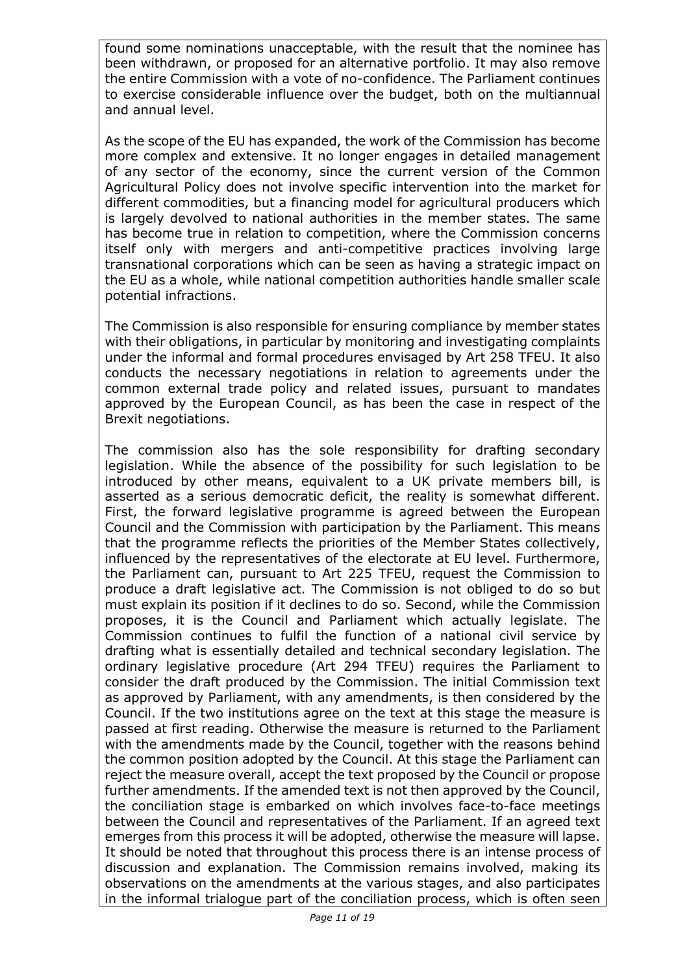found some nominations unacceptable, with the result that the nominee has been withdrawn, or proposed for an alternative portfolio. It may also remove the entire Commission with a vote of no-confidence. The Parliament continues to exercise considerable influence over the budget, both on the multiannual and annual level.

As the scope of the EU has expanded, the work of the Commission has become more complex and extensive. It no longer engages in detailed management of any sector of the economy, since the current version of the Common Agricultural Policy does not involve specific intervention into the market for different commodities, but a financing model for agricultural producers which is largely devolved to national authorities in the member states. The same has become true in relation to competition, where the Commission concerns itself only with mergers and anti-competitive practices involving large transnational corporations which can be seen as having a strategic impact on the EU as a whole, while national competition authorities handle smaller scale potential infractions.

The Commission is also responsible for ensuring compliance by member states with their obligations, in particular by monitoring and investigating complaints under the informal and formal procedures envisaged by Art 258 TFEU. It also conducts the necessary negotiations in relation to agreements under the common external trade policy and related issues, pursuant to mandates approved by the European Council, as has been the case in respect of the Brexit negotiations.

The commission also has the sole responsibility for drafting secondary legislation. While the absence of the possibility for such legislation to be introduced by other means, equivalent to a UK private members bill, is asserted as a serious democratic deficit, the reality is somewhat different. First, the forward legislative programme is agreed between the European Council and the Commission with participation by the Parliament. This means that the programme reflects the priorities of the Member States collectively, influenced by the representatives of the electorate at EU level. Furthermore, the Parliament can, pursuant to Art 225 TFEU, request the Commission to produce a draft legislative act. The Commission is not obliged to do so but must explain its position if it declines to do so. Second, while the Commission proposes, it is the Council and Parliament which actually legislate. The Commission continues to fulfil the function of a national civil service by drafting what is essentially detailed and technical secondary legislation. The ordinary legislative procedure (Art 294 TFEU) requires the Parliament to consider the draft produced by the Commission. The initial Commission text as approved by Parliament, with any amendments, is then considered by the Council. If the two institutions agree on the text at this stage the measure is passed at first reading. Otherwise the measure is returned to the Parliament with the amendments made by the Council, together with the reasons behind the common position adopted by the Council. At this stage the Parliament can reject the measure overall, accept the text proposed by the Council or propose further amendments. If the amended text is not then approved by the Council, the conciliation stage is embarked on which involves face-to-face meetings between the Council and representatives of the Parliament. If an agreed text emerges from this process it will be adopted, otherwise the measure will lapse. It should be noted that throughout this process there is an intense process of discussion and explanation. The Commission remains involved, making its observations on the amendments at the various stages, and also participates in the informal trialogue part of the conciliation process, which is often seen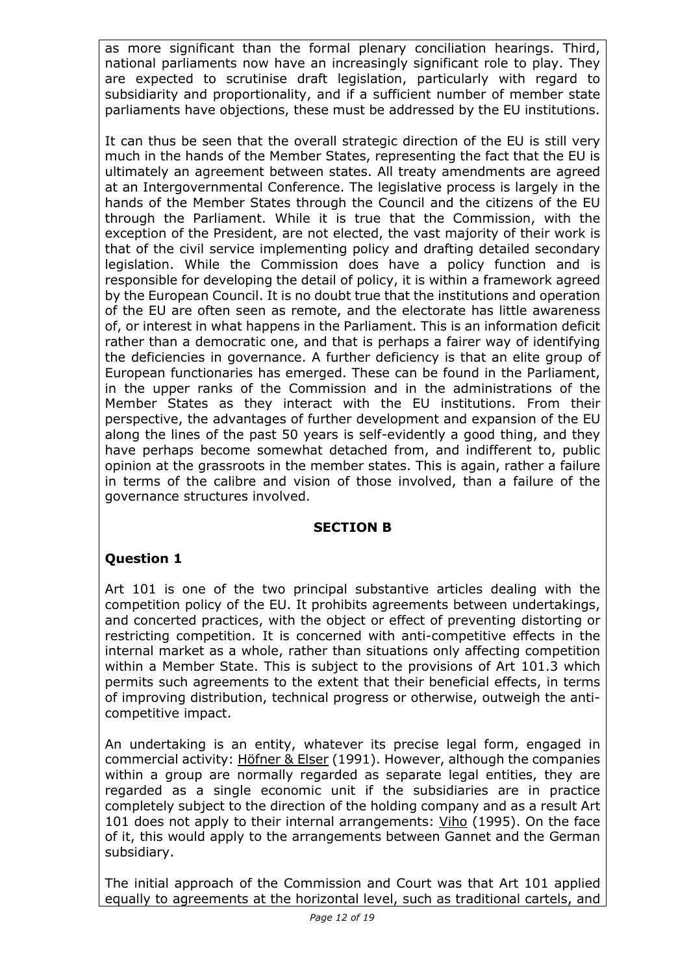as more significant than the formal plenary conciliation hearings. Third, national parliaments now have an increasingly significant role to play. They are expected to scrutinise draft legislation, particularly with regard to subsidiarity and proportionality, and if a sufficient number of member state parliaments have objections, these must be addressed by the EU institutions.

It can thus be seen that the overall strategic direction of the EU is still very much in the hands of the Member States, representing the fact that the EU is ultimately an agreement between states. All treaty amendments are agreed at an Intergovernmental Conference. The legislative process is largely in the hands of the Member States through the Council and the citizens of the EU through the Parliament. While it is true that the Commission, with the exception of the President, are not elected, the vast majority of their work is that of the civil service implementing policy and drafting detailed secondary legislation. While the Commission does have a policy function and is responsible for developing the detail of policy, it is within a framework agreed by the European Council. It is no doubt true that the institutions and operation of the EU are often seen as remote, and the electorate has little awareness of, or interest in what happens in the Parliament. This is an information deficit rather than a democratic one, and that is perhaps a fairer way of identifying the deficiencies in governance. A further deficiency is that an elite group of European functionaries has emerged. These can be found in the Parliament, in the upper ranks of the Commission and in the administrations of the Member States as they interact with the EU institutions. From their perspective, the advantages of further development and expansion of the EU along the lines of the past 50 years is self-evidently a good thing, and they have perhaps become somewhat detached from, and indifferent to, public opinion at the grassroots in the member states. This is again, rather a failure in terms of the calibre and vision of those involved, than a failure of the governance structures involved.

## **SECTION B**

## **Question 1**

Art 101 is one of the two principal substantive articles dealing with the competition policy of the EU. It prohibits agreements between undertakings, and concerted practices, with the object or effect of preventing distorting or restricting competition. It is concerned with anti-competitive effects in the internal market as a whole, rather than situations only affecting competition within a Member State. This is subject to the provisions of Art 101.3 which permits such agreements to the extent that their beneficial effects, in terms of improving distribution, technical progress or otherwise, outweigh the anticompetitive impact.

An undertaking is an entity, whatever its precise legal form, engaged in commercial activity: Höfner & Elser (1991). However, although the companies within a group are normally regarded as separate legal entities, they are regarded as a single economic unit if the subsidiaries are in practice completely subject to the direction of the holding company and as a result Art 101 does not apply to their internal arrangements: Viho (1995). On the face of it, this would apply to the arrangements between Gannet and the German subsidiary.

The initial approach of the Commission and Court was that Art 101 applied equally to agreements at the horizontal level, such as traditional cartels, and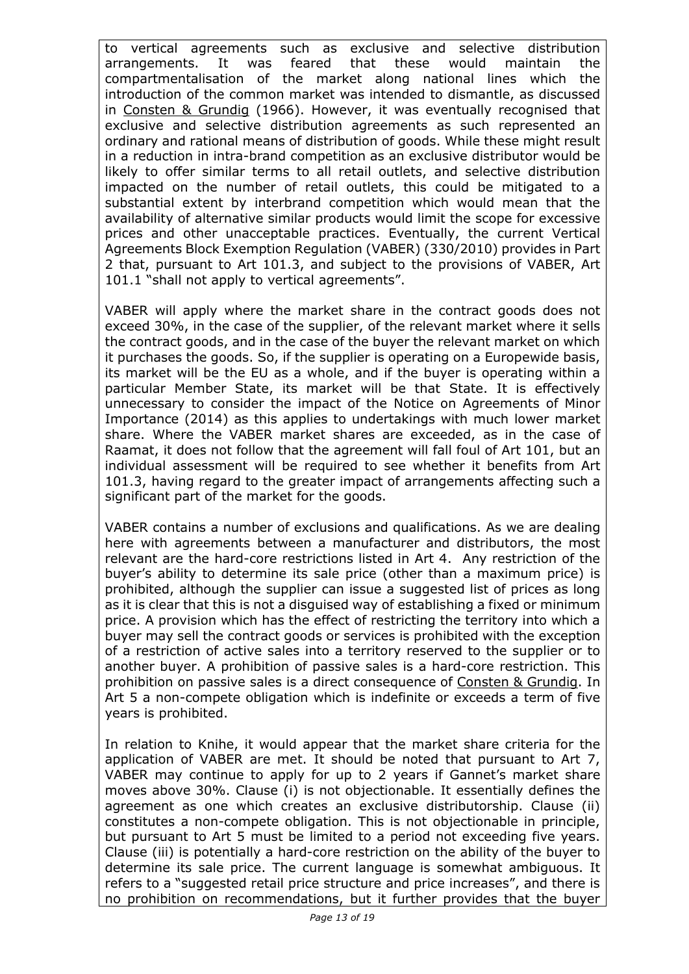to vertical agreements such as exclusive and selective distribution arrangements. It was feared that these would maintain the compartmentalisation of the market along national lines which the introduction of the common market was intended to dismantle, as discussed in Consten & Grundig (1966). However, it was eventually recognised that exclusive and selective distribution agreements as such represented an ordinary and rational means of distribution of goods. While these might result in a reduction in intra-brand competition as an exclusive distributor would be likely to offer similar terms to all retail outlets, and selective distribution impacted on the number of retail outlets, this could be mitigated to a substantial extent by interbrand competition which would mean that the availability of alternative similar products would limit the scope for excessive prices and other unacceptable practices. Eventually, the current Vertical Agreements Block Exemption Regulation (VABER) (330/2010) provides in Part 2 that, pursuant to Art 101.3, and subject to the provisions of VABER, Art 101.1 "shall not apply to vertical agreements".

VABER will apply where the market share in the contract goods does not exceed 30%, in the case of the supplier, of the relevant market where it sells the contract goods, and in the case of the buyer the relevant market on which it purchases the goods. So, if the supplier is operating on a Europewide basis, its market will be the EU as a whole, and if the buyer is operating within a particular Member State, its market will be that State. It is effectively unnecessary to consider the impact of the Notice on Agreements of Minor Importance (2014) as this applies to undertakings with much lower market share. Where the VABER market shares are exceeded, as in the case of Raamat, it does not follow that the agreement will fall foul of Art 101, but an individual assessment will be required to see whether it benefits from Art 101.3, having regard to the greater impact of arrangements affecting such a significant part of the market for the goods.

VABER contains a number of exclusions and qualifications. As we are dealing here with agreements between a manufacturer and distributors, the most relevant are the hard-core restrictions listed in Art 4. Any restriction of the buyer's ability to determine its sale price (other than a maximum price) is prohibited, although the supplier can issue a suggested list of prices as long as it is clear that this is not a disguised way of establishing a fixed or minimum price. A provision which has the effect of restricting the territory into which a buyer may sell the contract goods or services is prohibited with the exception of a restriction of active sales into a territory reserved to the supplier or to another buyer. A prohibition of passive sales is a hard-core restriction. This prohibition on passive sales is a direct consequence of Consten & Grundig. In Art 5 a non-compete obligation which is indefinite or exceeds a term of five years is prohibited.

In relation to Knihe, it would appear that the market share criteria for the application of VABER are met. It should be noted that pursuant to Art 7, VABER may continue to apply for up to 2 years if Gannet's market share moves above 30%. Clause (i) is not objectionable. It essentially defines the agreement as one which creates an exclusive distributorship. Clause (ii) constitutes a non-compete obligation. This is not objectionable in principle, but pursuant to Art 5 must be limited to a period not exceeding five years. Clause (iii) is potentially a hard-core restriction on the ability of the buyer to determine its sale price. The current language is somewhat ambiguous. It refers to a "suggested retail price structure and price increases", and there is no prohibition on recommendations, but it further provides that the buyer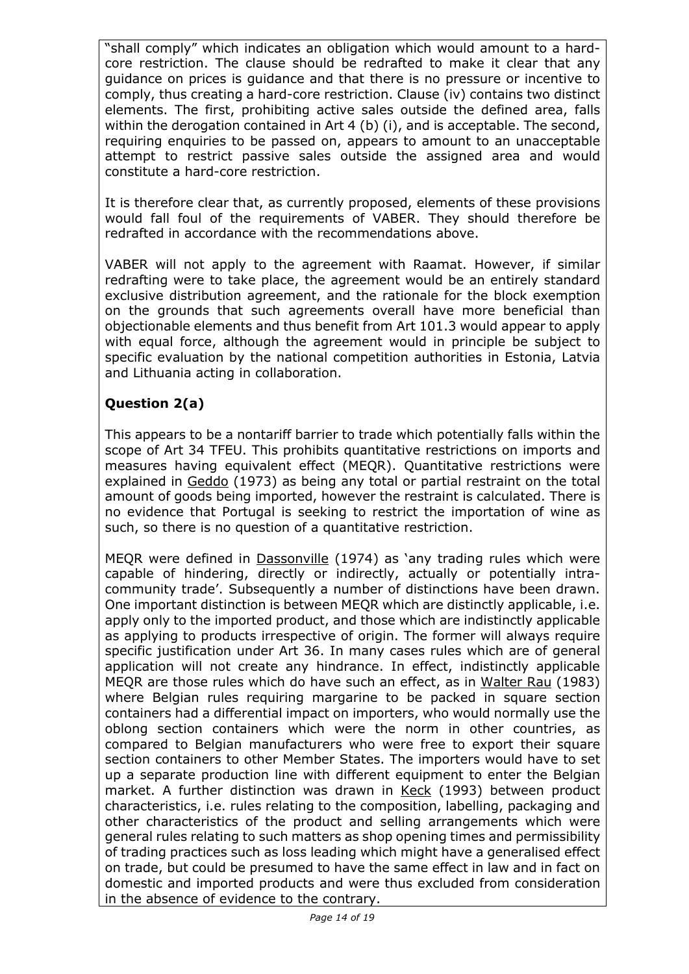"shall comply" which indicates an obligation which would amount to a hardcore restriction. The clause should be redrafted to make it clear that any guidance on prices is guidance and that there is no pressure or incentive to comply, thus creating a hard-core restriction. Clause (iv) contains two distinct elements. The first, prohibiting active sales outside the defined area, falls within the derogation contained in Art 4 (b) (i), and is acceptable. The second, requiring enquiries to be passed on, appears to amount to an unacceptable attempt to restrict passive sales outside the assigned area and would constitute a hard-core restriction.

It is therefore clear that, as currently proposed, elements of these provisions would fall foul of the requirements of VABER. They should therefore be redrafted in accordance with the recommendations above.

VABER will not apply to the agreement with Raamat. However, if similar redrafting were to take place, the agreement would be an entirely standard exclusive distribution agreement, and the rationale for the block exemption on the grounds that such agreements overall have more beneficial than objectionable elements and thus benefit from Art 101.3 would appear to apply with equal force, although the agreement would in principle be subject to specific evaluation by the national competition authorities in Estonia, Latvia and Lithuania acting in collaboration.

# **Question 2(a)**

This appears to be a nontariff barrier to trade which potentially falls within the scope of Art 34 TFEU. This prohibits quantitative restrictions on imports and measures having equivalent effect (MEQR). Quantitative restrictions were explained in Geddo (1973) as being any total or partial restraint on the total amount of goods being imported, however the restraint is calculated. There is no evidence that Portugal is seeking to restrict the importation of wine as such, so there is no question of a quantitative restriction.

MEQR were defined in Dassonville (1974) as 'any trading rules which were capable of hindering, directly or indirectly, actually or potentially intracommunity trade'. Subsequently a number of distinctions have been drawn. One important distinction is between MEQR which are distinctly applicable, i.e. apply only to the imported product, and those which are indistinctly applicable as applying to products irrespective of origin. The former will always require specific justification under Art 36. In many cases rules which are of general application will not create any hindrance. In effect, indistinctly applicable MEQR are those rules which do have such an effect, as in Walter Rau (1983) where Belgian rules requiring margarine to be packed in square section containers had a differential impact on importers, who would normally use the oblong section containers which were the norm in other countries, as compared to Belgian manufacturers who were free to export their square section containers to other Member States. The importers would have to set up a separate production line with different equipment to enter the Belgian market. A further distinction was drawn in Keck (1993) between product characteristics, i.e. rules relating to the composition, labelling, packaging and other characteristics of the product and selling arrangements which were general rules relating to such matters as shop opening times and permissibility of trading practices such as loss leading which might have a generalised effect on trade, but could be presumed to have the same effect in law and in fact on domestic and imported products and were thus excluded from consideration in the absence of evidence to the contrary.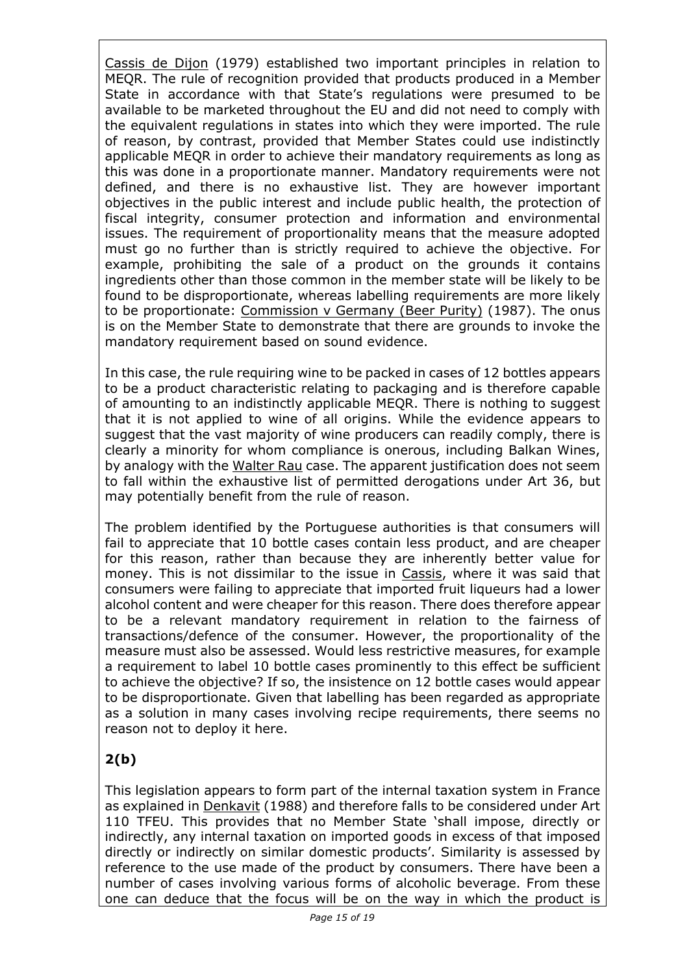Cassis de Dijon (1979) established two important principles in relation to MEQR. The rule of recognition provided that products produced in a Member State in accordance with that State's regulations were presumed to be available to be marketed throughout the EU and did not need to comply with the equivalent regulations in states into which they were imported. The rule of reason, by contrast, provided that Member States could use indistinctly applicable MEQR in order to achieve their mandatory requirements as long as this was done in a proportionate manner. Mandatory requirements were not defined, and there is no exhaustive list. They are however important objectives in the public interest and include public health, the protection of fiscal integrity, consumer protection and information and environmental issues. The requirement of proportionality means that the measure adopted must go no further than is strictly required to achieve the objective. For example, prohibiting the sale of a product on the grounds it contains ingredients other than those common in the member state will be likely to be found to be disproportionate, whereas labelling requirements are more likely to be proportionate: Commission v Germany (Beer Purity) (1987). The onus is on the Member State to demonstrate that there are grounds to invoke the mandatory requirement based on sound evidence.

In this case, the rule requiring wine to be packed in cases of 12 bottles appears to be a product characteristic relating to packaging and is therefore capable of amounting to an indistinctly applicable MEQR. There is nothing to suggest that it is not applied to wine of all origins. While the evidence appears to suggest that the vast majority of wine producers can readily comply, there is clearly a minority for whom compliance is onerous, including Balkan Wines, by analogy with the Walter Rau case. The apparent justification does not seem to fall within the exhaustive list of permitted derogations under Art 36, but may potentially benefit from the rule of reason.

The problem identified by the Portuguese authorities is that consumers will fail to appreciate that 10 bottle cases contain less product, and are cheaper for this reason, rather than because they are inherently better value for money. This is not dissimilar to the issue in Cassis, where it was said that consumers were failing to appreciate that imported fruit liqueurs had a lower alcohol content and were cheaper for this reason. There does therefore appear to be a relevant mandatory requirement in relation to the fairness of transactions/defence of the consumer. However, the proportionality of the measure must also be assessed. Would less restrictive measures, for example a requirement to label 10 bottle cases prominently to this effect be sufficient to achieve the objective? If so, the insistence on 12 bottle cases would appear to be disproportionate. Given that labelling has been regarded as appropriate as a solution in many cases involving recipe requirements, there seems no reason not to deploy it here.

# **2(b)**

This legislation appears to form part of the internal taxation system in France as explained in Denkavit (1988) and therefore falls to be considered under Art 110 TFEU. This provides that no Member State 'shall impose, directly or indirectly, any internal taxation on imported goods in excess of that imposed directly or indirectly on similar domestic products'. Similarity is assessed by reference to the use made of the product by consumers. There have been a number of cases involving various forms of alcoholic beverage. From these one can deduce that the focus will be on the way in which the product is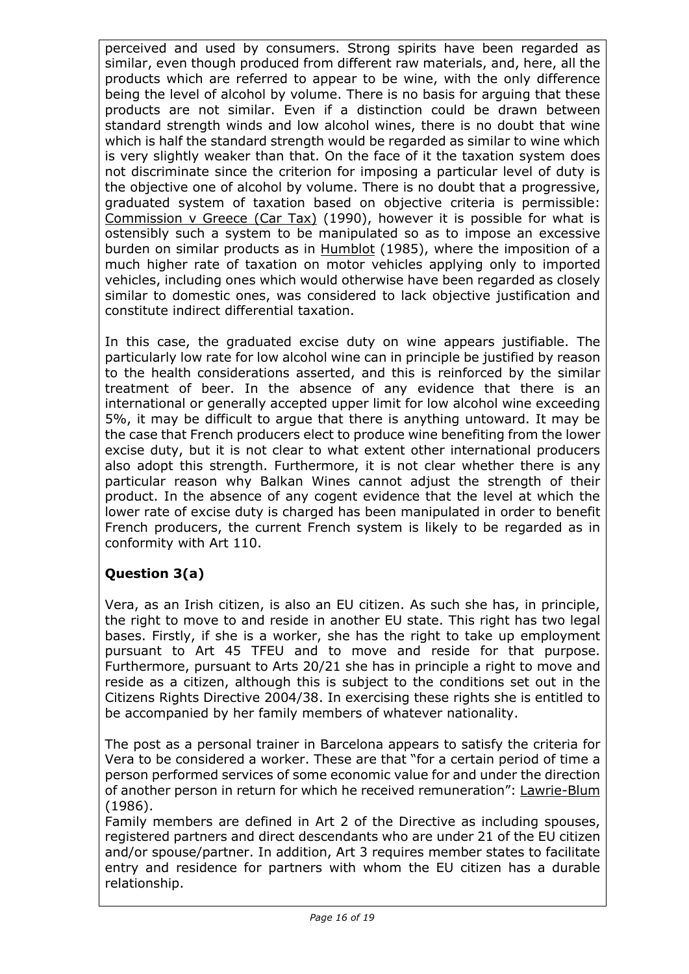perceived and used by consumers. Strong spirits have been regarded as similar, even though produced from different raw materials, and, here, all the products which are referred to appear to be wine, with the only difference being the level of alcohol by volume. There is no basis for arguing that these products are not similar. Even if a distinction could be drawn between standard strength winds and low alcohol wines, there is no doubt that wine which is half the standard strength would be regarded as similar to wine which is very slightly weaker than that. On the face of it the taxation system does not discriminate since the criterion for imposing a particular level of duty is the objective one of alcohol by volume. There is no doubt that a progressive, graduated system of taxation based on objective criteria is permissible: Commission v Greece (Car Tax) (1990), however it is possible for what is ostensibly such a system to be manipulated so as to impose an excessive burden on similar products as in Humblot (1985), where the imposition of a much higher rate of taxation on motor vehicles applying only to imported vehicles, including ones which would otherwise have been regarded as closely similar to domestic ones, was considered to lack objective justification and constitute indirect differential taxation.

In this case, the graduated excise duty on wine appears justifiable. The particularly low rate for low alcohol wine can in principle be justified by reason to the health considerations asserted, and this is reinforced by the similar treatment of beer. In the absence of any evidence that there is an international or generally accepted upper limit for low alcohol wine exceeding 5%, it may be difficult to argue that there is anything untoward. It may be the case that French producers elect to produce wine benefiting from the lower excise duty, but it is not clear to what extent other international producers also adopt this strength. Furthermore, it is not clear whether there is any particular reason why Balkan Wines cannot adjust the strength of their product. In the absence of any cogent evidence that the level at which the lower rate of excise duty is charged has been manipulated in order to benefit French producers, the current French system is likely to be regarded as in conformity with Art 110.

# **Question 3(a)**

Vera, as an Irish citizen, is also an EU citizen. As such she has, in principle, the right to move to and reside in another EU state. This right has two legal bases. Firstly, if she is a worker, she has the right to take up employment pursuant to Art 45 TFEU and to move and reside for that purpose. Furthermore, pursuant to Arts 20/21 she has in principle a right to move and reside as a citizen, although this is subject to the conditions set out in the Citizens Rights Directive 2004/38. In exercising these rights she is entitled to be accompanied by her family members of whatever nationality.

The post as a personal trainer in Barcelona appears to satisfy the criteria for Vera to be considered a worker. These are that "for a certain period of time a person performed services of some economic value for and under the direction of another person in return for which he received remuneration": Lawrie-Blum (1986).

Family members are defined in Art 2 of the Directive as including spouses, registered partners and direct descendants who are under 21 of the EU citizen and/or spouse/partner. In addition, Art 3 requires member states to facilitate entry and residence for partners with whom the EU citizen has a durable relationship.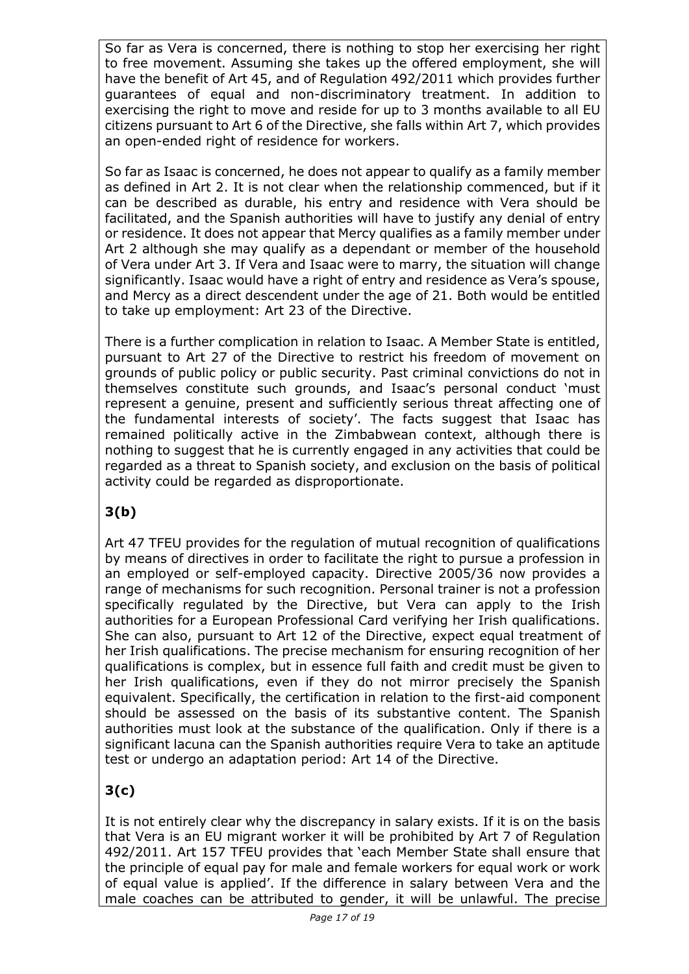So far as Vera is concerned, there is nothing to stop her exercising her right to free movement. Assuming she takes up the offered employment, she will have the benefit of Art 45, and of Regulation 492/2011 which provides further guarantees of equal and non-discriminatory treatment. In addition to exercising the right to move and reside for up to 3 months available to all EU citizens pursuant to Art 6 of the Directive, she falls within Art 7, which provides an open-ended right of residence for workers.

So far as Isaac is concerned, he does not appear to qualify as a family member as defined in Art 2. It is not clear when the relationship commenced, but if it can be described as durable, his entry and residence with Vera should be facilitated, and the Spanish authorities will have to justify any denial of entry or residence. It does not appear that Mercy qualifies as a family member under Art 2 although she may qualify as a dependant or member of the household of Vera under Art 3. If Vera and Isaac were to marry, the situation will change significantly. Isaac would have a right of entry and residence as Vera's spouse, and Mercy as a direct descendent under the age of 21. Both would be entitled to take up employment: Art 23 of the Directive.

There is a further complication in relation to Isaac. A Member State is entitled, pursuant to Art 27 of the Directive to restrict his freedom of movement on grounds of public policy or public security. Past criminal convictions do not in themselves constitute such grounds, and Isaac's personal conduct 'must represent a genuine, present and sufficiently serious threat affecting one of the fundamental interests of society'. The facts suggest that Isaac has remained politically active in the Zimbabwean context, although there is nothing to suggest that he is currently engaged in any activities that could be regarded as a threat to Spanish society, and exclusion on the basis of political activity could be regarded as disproportionate.

# **3(b)**

Art 47 TFEU provides for the regulation of mutual recognition of qualifications by means of directives in order to facilitate the right to pursue a profession in an employed or self-employed capacity. Directive 2005/36 now provides a range of mechanisms for such recognition. Personal trainer is not a profession specifically regulated by the Directive, but Vera can apply to the Irish authorities for a European Professional Card verifying her Irish qualifications. She can also, pursuant to Art 12 of the Directive, expect equal treatment of her Irish qualifications. The precise mechanism for ensuring recognition of her qualifications is complex, but in essence full faith and credit must be given to her Irish qualifications, even if they do not mirror precisely the Spanish equivalent. Specifically, the certification in relation to the first-aid component should be assessed on the basis of its substantive content. The Spanish authorities must look at the substance of the qualification. Only if there is a significant lacuna can the Spanish authorities require Vera to take an aptitude test or undergo an adaptation period: Art 14 of the Directive.

# **3(c)**

It is not entirely clear why the discrepancy in salary exists. If it is on the basis that Vera is an EU migrant worker it will be prohibited by Art 7 of Regulation 492/2011. Art 157 TFEU provides that 'each Member State shall ensure that the principle of equal pay for male and female workers for equal work or work of equal value is applied'. If the difference in salary between Vera and the male coaches can be attributed to gender, it will be unlawful. The precise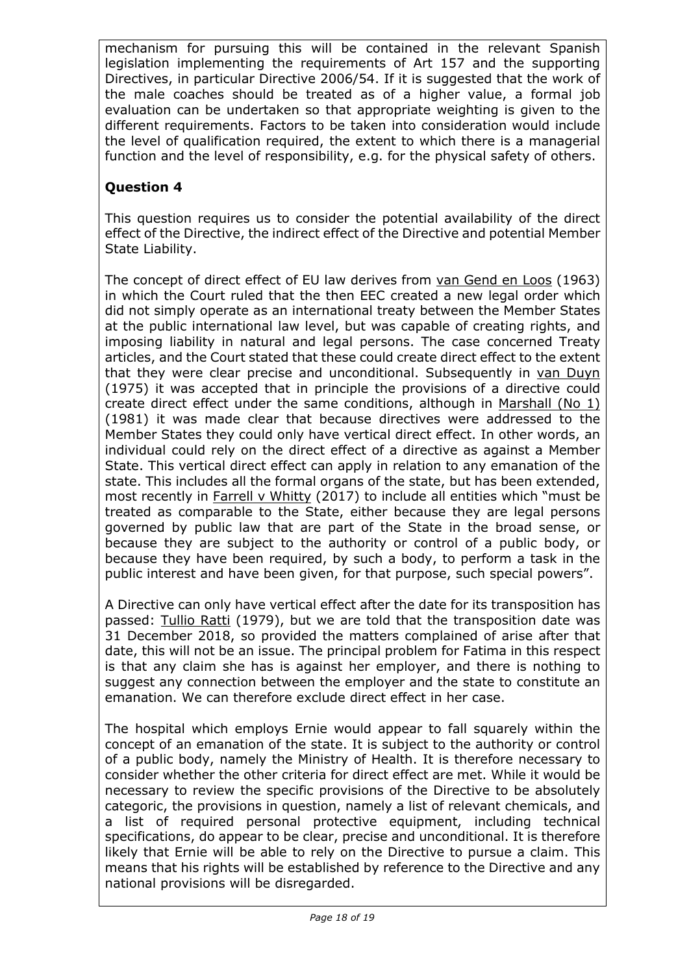mechanism for pursuing this will be contained in the relevant Spanish legislation implementing the requirements of Art 157 and the supporting Directives, in particular Directive 2006/54. If it is suggested that the work of the male coaches should be treated as of a higher value, a formal job evaluation can be undertaken so that appropriate weighting is given to the different requirements. Factors to be taken into consideration would include the level of qualification required, the extent to which there is a managerial function and the level of responsibility, e.g. for the physical safety of others.

# **Question 4**

This question requires us to consider the potential availability of the direct effect of the Directive, the indirect effect of the Directive and potential Member State Liability.

The concept of direct effect of EU law derives from van Gend en Loos (1963) in which the Court ruled that the then EEC created a new legal order which did not simply operate as an international treaty between the Member States at the public international law level, but was capable of creating rights, and imposing liability in natural and legal persons. The case concerned Treaty articles, and the Court stated that these could create direct effect to the extent that they were clear precise and unconditional. Subsequently in van Duyn (1975) it was accepted that in principle the provisions of a directive could create direct effect under the same conditions, although in Marshall (No 1) (1981) it was made clear that because directives were addressed to the Member States they could only have vertical direct effect. In other words, an individual could rely on the direct effect of a directive as against a Member State. This vertical direct effect can apply in relation to any emanation of the state. This includes all the formal organs of the state, but has been extended, most recently in Farrell v Whitty (2017) to include all entities which "must be treated as comparable to the State, either because they are legal persons governed by public law that are part of the State in the broad sense, or because they are subject to the authority or control of a public body, or because they have been required, by such a body, to perform a task in the public interest and have been given, for that purpose, such special powers".

A Directive can only have vertical effect after the date for its transposition has passed: Tullio Ratti (1979), but we are told that the transposition date was 31 December 2018, so provided the matters complained of arise after that date, this will not be an issue. The principal problem for Fatima in this respect is that any claim she has is against her employer, and there is nothing to suggest any connection between the employer and the state to constitute an emanation. We can therefore exclude direct effect in her case.

The hospital which employs Ernie would appear to fall squarely within the concept of an emanation of the state. It is subject to the authority or control of a public body, namely the Ministry of Health. It is therefore necessary to consider whether the other criteria for direct effect are met. While it would be necessary to review the specific provisions of the Directive to be absolutely categoric, the provisions in question, namely a list of relevant chemicals, and a list of required personal protective equipment, including technical specifications, do appear to be clear, precise and unconditional. It is therefore likely that Ernie will be able to rely on the Directive to pursue a claim. This means that his rights will be established by reference to the Directive and any national provisions will be disregarded.